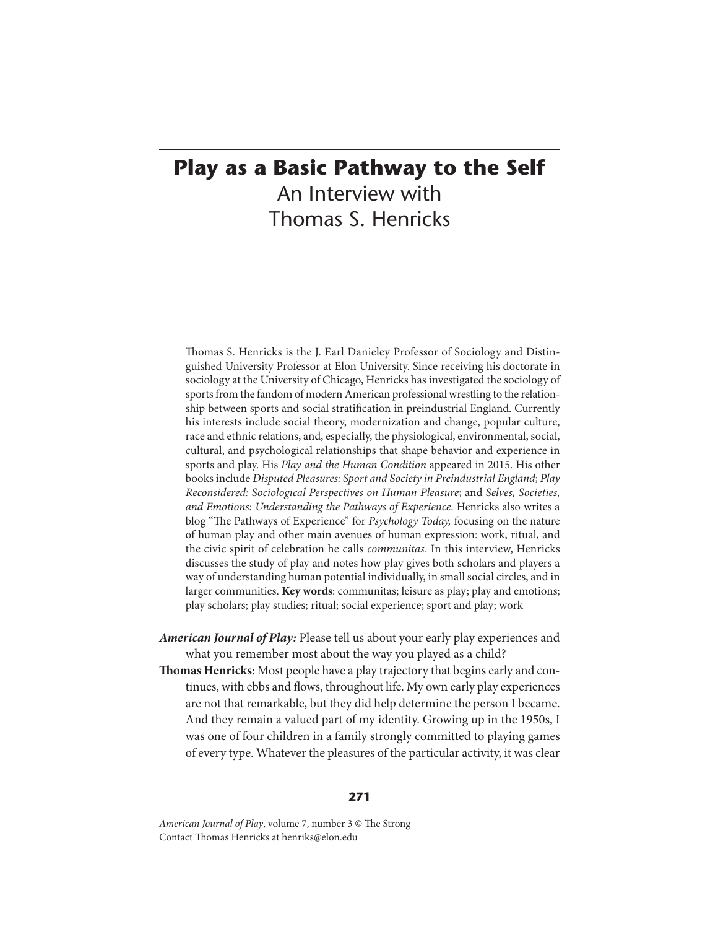## **Play as a Basic Pathway to the Self**

An Interview with Thomas S. Henricks

Thomas S. Henricks is the J. Earl Danieley Professor of Sociology and Distinguished University Professor at Elon University. Since receiving his doctorate in sociology at the University of Chicago, Henricks has investigated the sociology of sports from the fandom of modern American professional wrestling to the relationship between sports and social stratification in preindustrial England. Currently his interests include social theory, modernization and change, popular culture, race and ethnic relations, and, especially, the physiological, environmental, social, cultural, and psychological relationships that shape behavior and experience in sports and play. His Play and the Human Condition appeared in 2015. His other books include Disputed Pleasures: Sport and Society in Preindustrial England; Play Reconsidered: Sociological Perspectives on Human Pleasure; and Selves, Societies, and Emotions: Understanding the Pathways of Experience. Henricks also writes a blog "The Pathways of Experience" for Psychology Today, focusing on the nature of human play and other main avenues of human expression: work, ritual, and the civic spirit of celebration he calls communitas. In this interview, Henricks discusses the study of play and notes how play gives both scholars and players a way of understanding human potential individually, in small social circles, and in larger communities. **Key words**: communitas; leisure as play; play and emotions; play scholars; play studies; ritual; social experience; sport and play; work

**American Journal of Play:** Please tell us about your early play experiences and what you remember most about the way you played as a child?

Thomas Henricks: Most people have a play trajectory that begins early and continues, with ebbs and flows, throughout life. My own early play experiences are not that remarkable, but they did help determine the person I became. And they remain a valued part of my identity. Growing up in the 1950s, I was one of four children in a family strongly committed to playing games of every type. Whatever the pleasures of the particular activity, it was clear

American Journal of Play, volume 7, number  $3 \circ$  The Strong Contact Thomas Henricks at henriks@elon.edu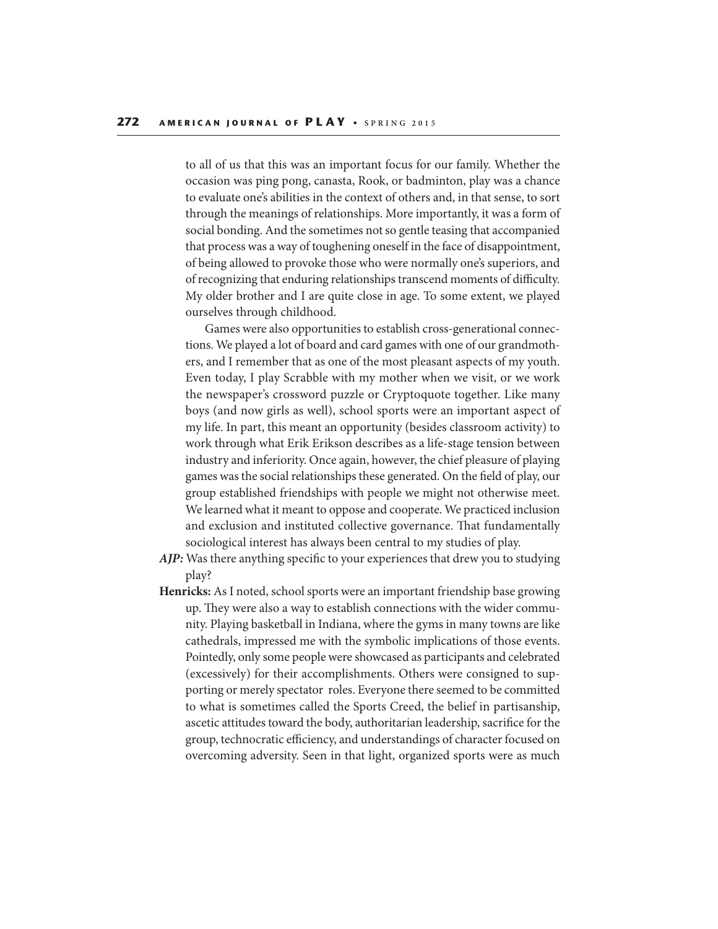to all of us that this was an important focus for our family. Whether the occasion was ping pong, canasta, Rook, or badminton, play was a chance to evaluate one's abilities in the context of others and, in that sense, to sort through the meanings of relationships. More importantly, it was a form of social bonding. And the sometimes not so gentle teasing that accompanied that process was a way of toughening oneself in the face of disappointment, of being allowed to provoke those who were normally one's superiors, and of recognizing that enduring relationships transcend moments of difficulty. My older brother and I are quite close in age. To some extent, we played ourselves through childhood.

 Games were also opportunities to establish cross-generational connections. We played a lot of board and card games with one of our grandmothers, and I remember that as one of the most pleasant aspects of my youth. Even today, I play Scrabble with my mother when we visit, or we work the newspaper's crossword puzzle or Cryptoquote together. Like many boys (and now girls as well), school sports were an important aspect of my life. In part, this meant an opportunity (besides classroom activity) to work through what Erik Erikson describes as a life-stage tension between industry and inferiority. Once again, however, the chief pleasure of playing games was the social relationships these generated. On the field of play, our group established friendships with people we might not otherwise meet. We learned what it meant to oppose and cooperate. We practiced inclusion and exclusion and instituted collective governance. That fundamentally sociological interest has always been central to my studies of play.

- **AJP:** Was there anything specific to your experiences that drew you to studying play?
- **Henricks:** As I noted, school sports were an important friendship base growing up. They were also a way to establish connections with the wider community. Playing basketball in Indiana, where the gyms in many towns are like cathedrals, impressed me with the symbolic implications of those events. Pointedly, only some people were showcased as participants and celebrated (excessively) for their accomplishments. Others were consigned to supporting or merely spectator roles. Everyone there seemed to be committed to what is sometimes called the Sports Creed, the belief in partisanship, ascetic attitudes toward the body, authoritarian leadership, sacrifice for the group, technocratic efficiency, and understandings of character focused on overcoming adversity. Seen in that light, organized sports were as much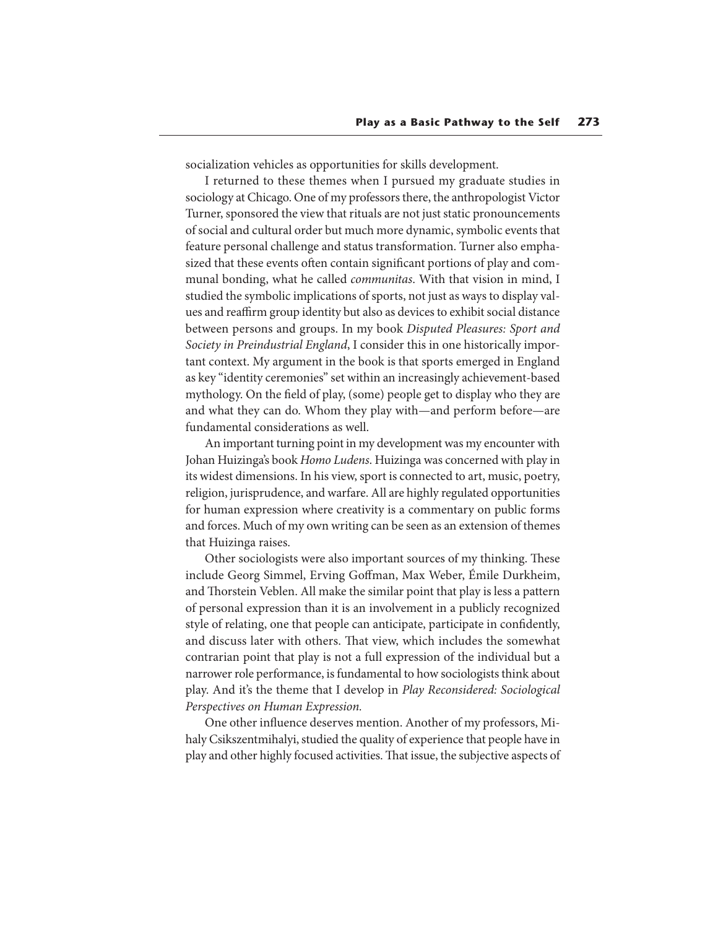socialization vehicles as opportunities for skills development.

 I returned to these themes when I pursued my graduate studies in sociology at Chicago. One of my professors there, the anthropologist Victor Turner, sponsored the view that rituals are not just static pronouncements of social and cultural order but much more dynamic, symbolic events that feature personal challenge and status transformation. Turner also emphasized that these events often contain significant portions of play and communal bonding, what he called communitas. With that vision in mind, I studied the symbolic implications of sports, not just as ways to display values and reaffirm group identity but also as devices to exhibit social distance between persons and groups. In my book Disputed Pleasures: Sport and Society in Preindustrial England, I consider this in one historically important context. My argument in the book is that sports emerged in England as key "identity ceremonies" set within an increasingly achievement-based mythology. On the field of play, (some) people get to display who they are and what they can do. Whom they play with—and perform before—are fundamental considerations as well.

 An important turning point in my development was my encounter with Johan Huizinga's book Homo Ludens. Huizinga was concerned with play in its widest dimensions. In his view, sport is connected to art, music, poetry, religion, jurisprudence, and warfare. All are highly regulated opportunities for human expression where creativity is a commentary on public forms and forces. Much of my own writing can be seen as an extension of themes that Huizinga raises.

Other sociologists were also important sources of my thinking. These include Georg Simmel, Erving Goffman, Max Weber, Émile Durkheim, and Thorstein Veblen. All make the similar point that play is less a pattern of personal expression than it is an involvement in a publicly recognized style of relating, one that people can anticipate, participate in confidently, and discuss later with others. That view, which includes the somewhat contrarian point that play is not a full expression of the individual but a narrower role performance, is fundamental to how sociologists think about play. And it's the theme that I develop in Play Reconsidered: Sociological Perspectives on Human Expression.

One other influence deserves mention. Another of my professors, Mihaly Csikszentmihalyi, studied the quality of experience that people have in play and other highly focused activities. That issue, the subjective aspects of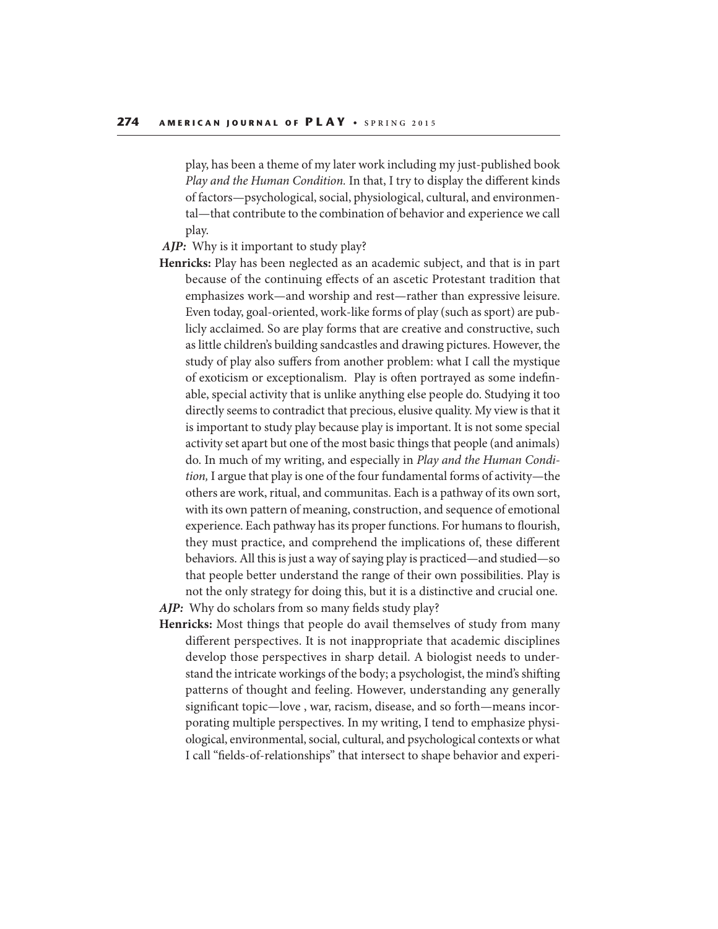play, has been a theme of my later work including my just-published book Play and the Human Condition. In that, I try to display the different kinds of factors—psychological, social, physiological, cultural, and environmental—that contribute to the combination of behavior and experience we call play.

**AJP:** Why is it important to study play?

- **Henricks:** Play has been neglected as an academic subject, and that is in part because of the continuing effects of an ascetic Protestant tradition that emphasizes work—and worship and rest—rather than expressive leisure. Even today, goal-oriented, work-like forms of play (such as sport) are publicly acclaimed. So are play forms that are creative and constructive, such as little children's building sandcastles and drawing pictures. However, the study of play also suffers from another problem: what I call the mystique of exoticism or exceptionalism. Play is often portrayed as some indefinable, special activity that is unlike anything else people do. Studying it too directly seems to contradict that precious, elusive quality. My view is that it is important to study play because play is important. It is not some special activity set apart but one of the most basic things that people (and animals) do. In much of my writing, and especially in Play and the Human Condition, I argue that play is one of the four fundamental forms of activity—the others are work, ritual, and communitas. Each is a pathway of its own sort, with its own pattern of meaning, construction, and sequence of emotional experience. Each pathway has its proper functions. For humans to flourish, they must practice, and comprehend the implications of, these different behaviors. All this is just a way of saying play is practiced—and studied—so that people better understand the range of their own possibilities. Play is not the only strategy for doing this, but it is a distinctive and crucial one.
- AJP: Why do scholars from so many fields study play?
- **Henricks:** Most things that people do avail themselves of study from many different perspectives. It is not inappropriate that academic disciplines develop those perspectives in sharp detail. A biologist needs to understand the intricate workings of the body; a psychologist, the mind's shifting patterns of thought and feeling. However, understanding any generally significant topic—love, war, racism, disease, and so forth—means incorporating multiple perspectives. In my writing, I tend to emphasize physiological, environmental, social, cultural, and psychological contexts or what I call "fields-of-relationships" that intersect to shape behavior and experi-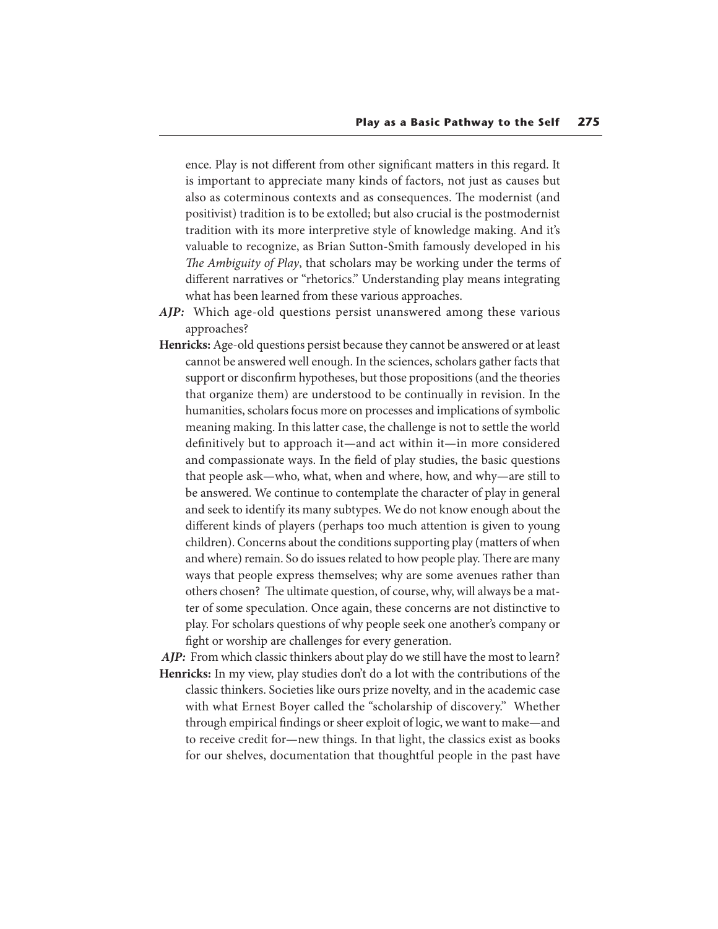ence. Play is not different from other significant matters in this regard. It is important to appreciate many kinds of factors, not just as causes but also as coterminous contexts and as consequences. The modernist (and positivist) tradition is to be extolled; but also crucial is the postmodernist tradition with its more interpretive style of knowledge making. And it's valuable to recognize, as Brian Sutton-Smith famously developed in his The Ambiguity of Play, that scholars may be working under the terms of different narratives or "rhetorics." Understanding play means integrating what has been learned from these various approaches.

- **AJP:** Which age-old questions persist unanswered among these various approaches?
- **Henricks:** Age-old questions persist because they cannot be answered or at least cannot be answered well enough. In the sciences, scholars gather facts that support or disconfirm hypotheses, but those propositions (and the theories that organize them) are understood to be continually in revision. In the humanities, scholars focus more on processes and implications of symbolic meaning making. In this latter case, the challenge is not to settle the world definitively but to approach it—and act within it—in more considered and compassionate ways. In the field of play studies, the basic questions that people ask—who, what, when and where, how, and why—are still to be answered. We continue to contemplate the character of play in general and seek to identify its many subtypes. We do not know enough about the different kinds of players (perhaps too much attention is given to young children). Concerns about the conditions supporting play (matters of when and where) remain. So do issues related to how people play. There are many ways that people express themselves; why are some avenues rather than others chosen? The ultimate question, of course, why, will always be a matter of some speculation. Once again, these concerns are not distinctive to play. For scholars questions of why people seek one another's company or fight or worship are challenges for every generation.

**AJP:** From which classic thinkers about play do we still have the most to learn? **Henricks:** In my view, play studies don't do a lot with the contributions of the classic thinkers. Societies like ours prize novelty, and in the academic case with what Ernest Boyer called the "scholarship of discovery." Whether through empirical findings or sheer exploit of logic, we want to make—and to receive credit for—new things. In that light, the classics exist as books for our shelves, documentation that thoughtful people in the past have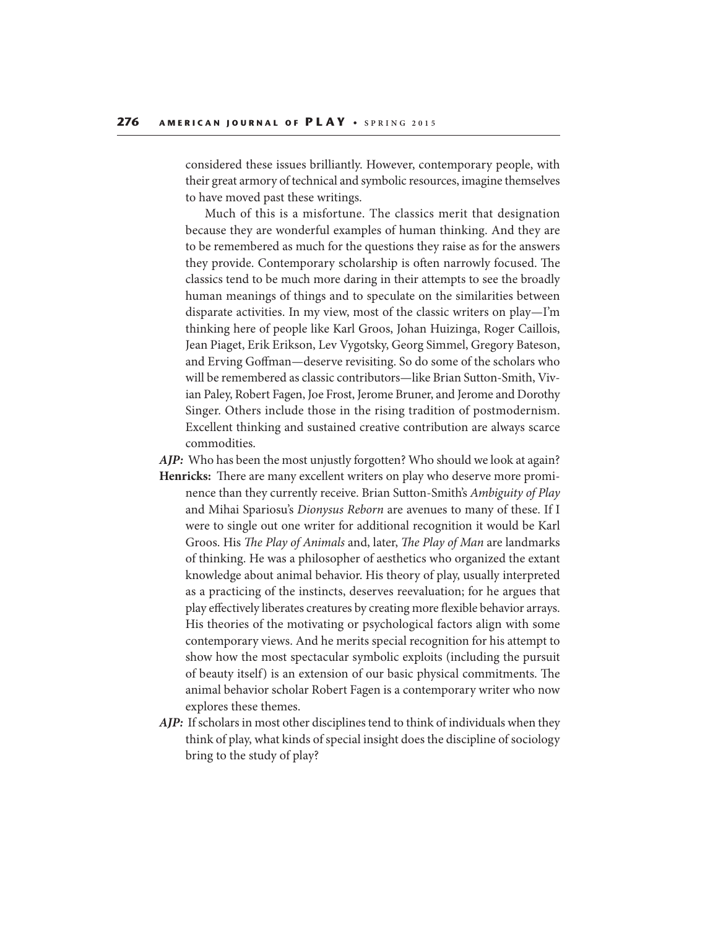considered these issues brilliantly. However, contemporary people, with their great armory of technical and symbolic resources, imagine themselves to have moved past these writings.

 Much of this is a misfortune. The classics merit that designation because they are wonderful examples of human thinking. And they are to be remembered as much for the questions they raise as for the answers they provide. Contemporary scholarship is often narrowly focused. The classics tend to be much more daring in their attempts to see the broadly human meanings of things and to speculate on the similarities between disparate activities. In my view, most of the classic writers on play—I'm thinking here of people like Karl Groos, Johan Huizinga, Roger Caillois, Jean Piaget, Erik Erikson, Lev Vygotsky, Georg Simmel, Gregory Bateson, and Erving Goffman—deserve revisiting. So do some of the scholars who will be remembered as classic contributors—like Brian Sutton-Smith, Vivian Paley, Robert Fagen, Joe Frost, Jerome Bruner, and Jerome and Dorothy Singer. Others include those in the rising tradition of postmodernism. Excellent thinking and sustained creative contribution are always scarce commodities.

**AJP:** Who has been the most unjustly forgotten? Who should we look at again? **Henricks:** There are many excellent writers on play who deserve more prominence than they currently receive. Brian Sutton-Smith's Ambiguity of Play and Mihai Spariosu's Dionysus Reborn are avenues to many of these. If I were to single out one writer for additional recognition it would be Karl Groos. His The Play of Animals and, later, The Play of Man are landmarks of thinking. He was a philosopher of aesthetics who organized the extant knowledge about animal behavior. His theory of play, usually interpreted as a practicing of the instincts, deserves reevaluation; for he argues that play effectively liberates creatures by creating more flexible behavior arrays. His theories of the motivating or psychological factors align with some contemporary views. And he merits special recognition for his attempt to show how the most spectacular symbolic exploits (including the pursuit of beauty itself) is an extension of our basic physical commitments. The animal behavior scholar Robert Fagen is a contemporary writer who now explores these themes.

**AJP:** If scholars in most other disciplines tend to think of individuals when they think of play, what kinds of special insight does the discipline of sociology bring to the study of play?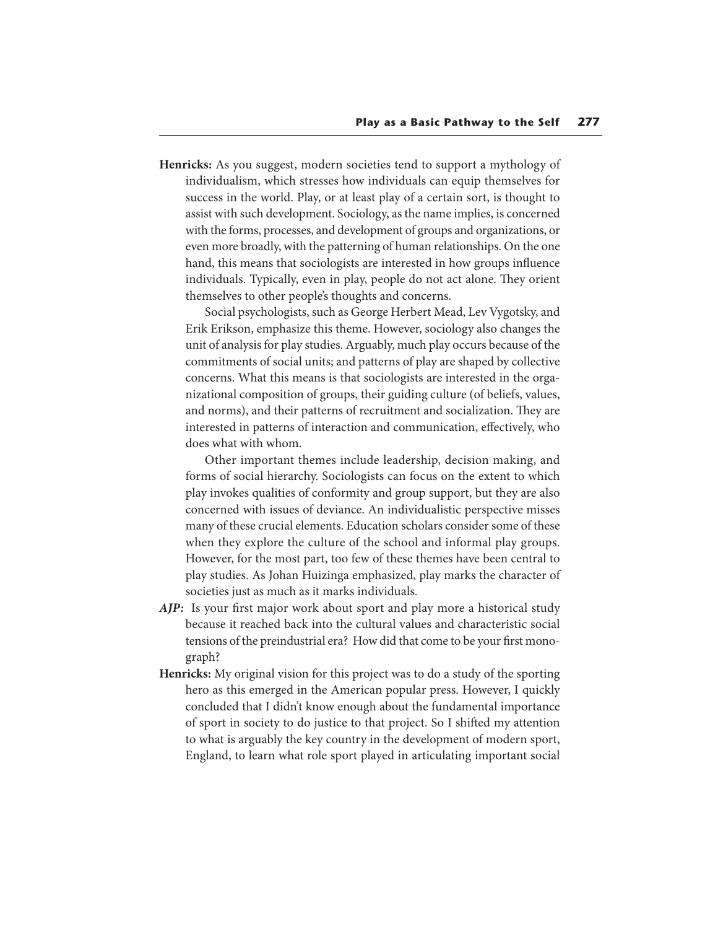**Henricks:** As you suggest, modern societies tend to support a mythology of individualism, which stresses how individuals can equip themselves for success in the world. Play, or at least play of a certain sort, is thought to assist with such development. Sociology, as the name implies, is concerned with the forms, processes, and development of groups and organizations, or even more broadly, with the patterning of human relationships. On the one hand, this means that sociologists are interested in how groups influence individuals. Typically, even in play, people do not act alone. They orient themselves to other people's thoughts and concerns.

 Social psychologists, such as George Herbert Mead, Lev Vygotsky, and Erik Erikson, emphasize this theme. However, sociology also changes the unit of analysis for play studies. Arguably, much play occurs because of the commitments of social units; and patterns of play are shaped by collective concerns. What this means is that sociologists are interested in the organizational composition of groups, their guiding culture (of beliefs, values, and norms), and their patterns of recruitment and socialization. They are interested in patterns of interaction and communication, effectively, who does what with whom.

 Other important themes include leadership, decision making, and forms of social hierarchy. Sociologists can focus on the extent to which play invokes qualities of conformity and group support, but they are also concerned with issues of deviance. An individualistic perspective misses many of these crucial elements. Education scholars consider some of these when they explore the culture of the school and informal play groups. However, for the most part, too few of these themes have been central to play studies. As Johan Huizinga emphasized, play marks the character of societies just as much as it marks individuals.

- AJP: Is your first major work about sport and play more a historical study because it reached back into the cultural values and characteristic social tensions of the preindustrial era? How did that come to be your first monograph?
- **Henricks:** My original vision for this project was to do a study of the sporting hero as this emerged in the American popular press. However, I quickly concluded that I didn't know enough about the fundamental importance of sport in society to do justice to that project. So I shifted my attention to what is arguably the key country in the development of modern sport, England, to learn what role sport played in articulating important social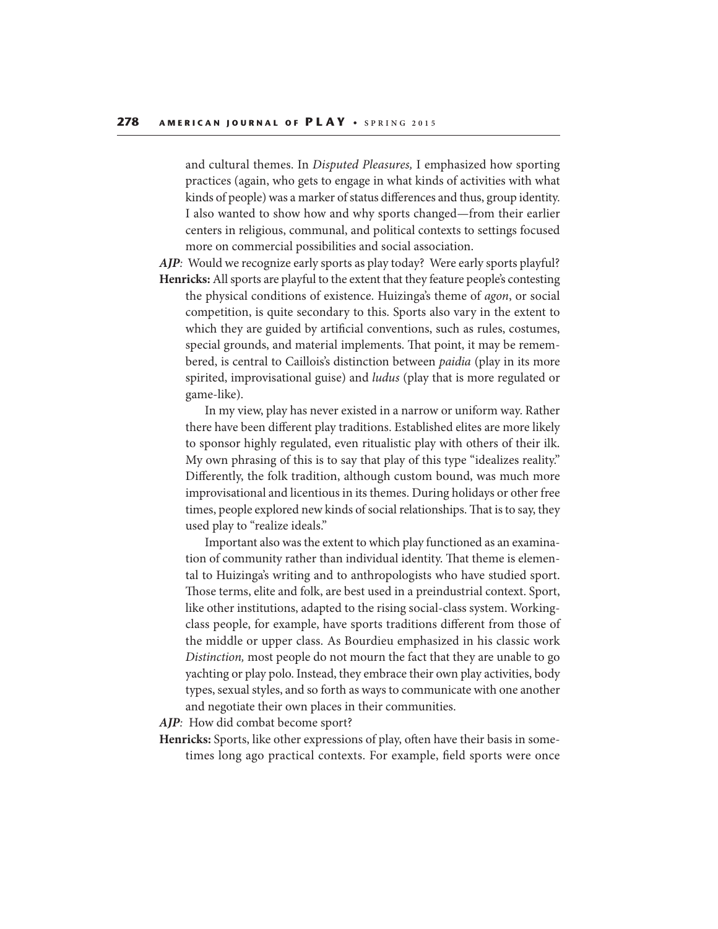and cultural themes. In *Disputed Pleasures*, I emphasized how sporting practices (again, who gets to engage in what kinds of activities with what kinds of people) was a marker of status differences and thus, group identity. I also wanted to show how and why sports changed—from their earlier centers in religious, communal, and political contexts to settings focused more on commercial possibilities and social association.

**AJP**: Would we recognize early sports as play today? Were early sports playful? **Henricks:** All sports are playful to the extent that they feature people's contesting the physical conditions of existence. Huizinga's theme of agon, or social competition, is quite secondary to this. Sports also vary in the extent to which they are guided by artificial conventions, such as rules, costumes, special grounds, and material implements. That point, it may be remembered, is central to Caillois's distinction between *paidia* (play in its more spirited, improvisational guise) and ludus (play that is more regulated or game-like).

 In my view, play has never existed in a narrow or uniform way. Rather there have been different play traditions. Established elites are more likely to sponsor highly regulated, even ritualistic play with others of their ilk. My own phrasing of this is to say that play of this type "idealizes reality." Differently, the folk tradition, although custom bound, was much more improvisational and licentious in its themes. During holidays or other free times, people explored new kinds of social relationships. That is to say, they used play to "realize ideals."

 Important also was the extent to which play functioned as an examination of community rather than individual identity. That theme is elemental to Huizinga's writing and to anthropologists who have studied sport. Those terms, elite and folk, are best used in a preindustrial context. Sport, like other institutions, adapted to the rising social-class system. Workingclass people, for example, have sports traditions different from those of the middle or upper class. As Bourdieu emphasized in his classic work Distinction, most people do not mourn the fact that they are unable to go yachting or play polo. Instead, they embrace their own play activities, body types, sexual styles, and so forth as ways to communicate with one another and negotiate their own places in their communities.

**AJP**: How did combat become sport?

**Henricks:** Sports, like other expressions of play, often have their basis in sometimes long ago practical contexts. For example, field sports were once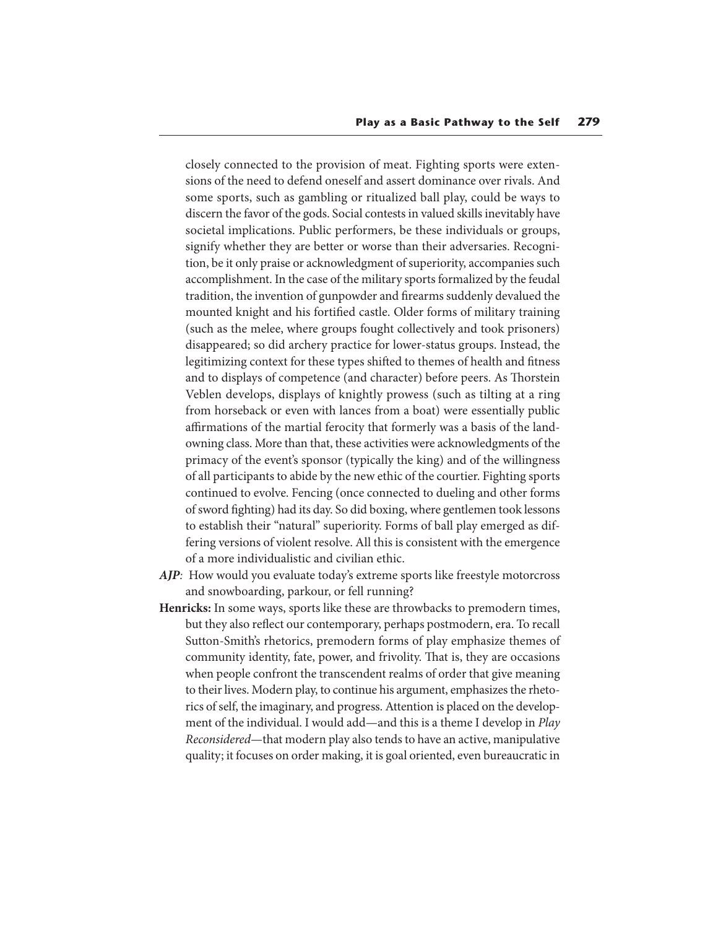closely connected to the provision of meat. Fighting sports were extensions of the need to defend oneself and assert dominance over rivals. And some sports, such as gambling or ritualized ball play, could be ways to discern the favor of the gods. Social contests in valued skills inevitably have societal implications. Public performers, be these individuals or groups, signify whether they are better or worse than their adversaries. Recognition, be it only praise or acknowledgment of superiority, accompanies such accomplishment. In the case of the military sports formalized by the feudal tradition, the invention of gunpowder and firearms suddenly devalued the mounted knight and his fortified castle. Older forms of military training (such as the melee, where groups fought collectively and took prisoners) disappeared; so did archery practice for lower-status groups. Instead, the legitimizing context for these types shifted to themes of health and fitness and to displays of competence (and character) before peers. As Thorstein Veblen develops, displays of knightly prowess (such as tilting at a ring from horseback or even with lances from a boat) were essentially public affirmations of the martial ferocity that formerly was a basis of the landowning class. More than that, these activities were acknowledgments of the primacy of the event's sponsor (typically the king) and of the willingness of all participants to abide by the new ethic of the courtier. Fighting sports continued to evolve. Fencing (once connected to dueling and other forms of sword fighting) had its day. So did boxing, where gentlemen took lessons to establish their "natural" superiority. Forms of ball play emerged as differing versions of violent resolve. All this is consistent with the emergence of a more individualistic and civilian ethic.

- **AJP**: How would you evaluate today's extreme sports like freestyle motorcross and snowboarding, parkour, or fell running?
- **Henricks:** In some ways, sports like these are throwbacks to premodern times, but they also reflect our contemporary, perhaps postmodern, era. To recall Sutton-Smith's rhetorics, premodern forms of play emphasize themes of community identity, fate, power, and frivolity. That is, they are occasions when people confront the transcendent realms of order that give meaning to their lives. Modern play, to continue his argument, emphasizes the rhetorics of self, the imaginary, and progress. Attention is placed on the development of the individual. I would add—and this is a theme I develop in Play Reconsidered—that modern play also tends to have an active, manipulative quality; it focuses on order making, it is goal oriented, even bureaucratic in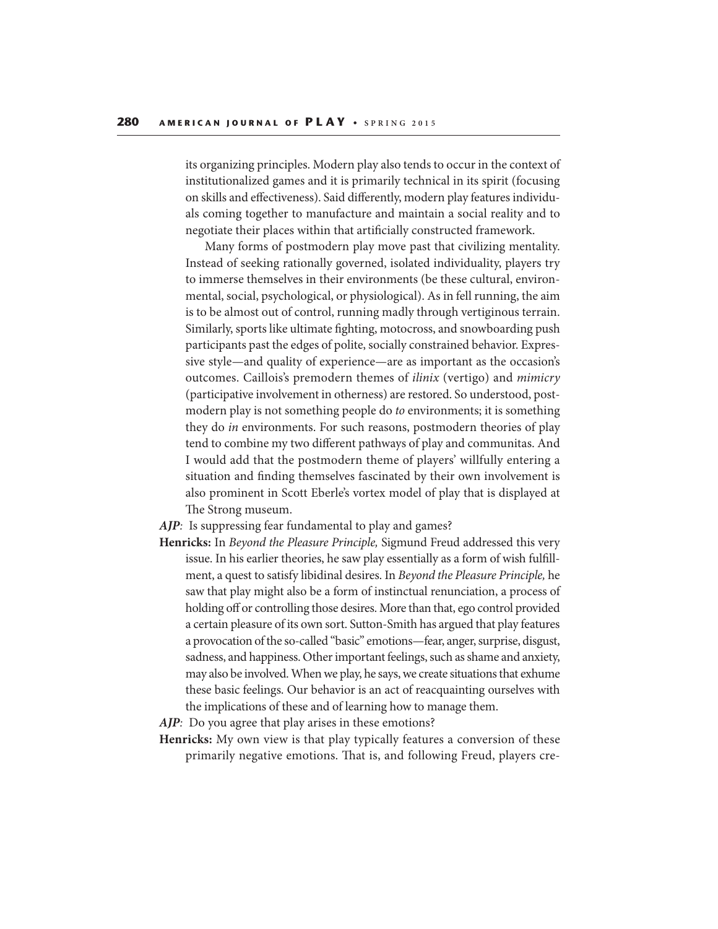its organizing principles. Modern play also tends to occur in the context of institutionalized games and it is primarily technical in its spirit (focusing on skills and effectiveness). Said differently, modern play features individuals coming together to manufacture and maintain a social reality and to negotiate their places within that artificially constructed framework.

 Many forms of postmodern play move past that civilizing mentality. Instead of seeking rationally governed, isolated individuality, players try to immerse themselves in their environments (be these cultural, environmental, social, psychological, or physiological). As in fell running, the aim is to be almost out of control, running madly through vertiginous terrain. Similarly, sports like ultimate fighting, motocross, and snowboarding push participants past the edges of polite, socially constrained behavior. Expressive style—and quality of experience—are as important as the occasion's outcomes. Caillois's premodern themes of ilinix (vertigo) and mimicry (participative involvement in otherness) are restored. So understood, postmodern play is not something people do to environments; it is something they do in environments. For such reasons, postmodern theories of play tend to combine my two different pathways of play and communitas. And I would add that the postmodern theme of players' willfully entering a situation and finding themselves fascinated by their own involvement is also prominent in Scott Eberle's vortex model of play that is displayed at The Strong museum.

**AJP**: Is suppressing fear fundamental to play and games?

**Henricks:** In Beyond the Pleasure Principle, Sigmund Freud addressed this very issue. In his earlier theories, he saw play essentially as a form of wish fulfillment, a quest to satisfy libidinal desires. In Beyond the Pleasure Principle, he saw that play might also be a form of instinctual renunciation, a process of holding off or controlling those desires. More than that, ego control provided a certain pleasure of its own sort. Sutton-Smith has argued that play features a provocation of the so-called "basic" emotions—fear, anger, surprise, disgust, sadness, and happiness. Other important feelings, such as shame and anxiety, may also be involved. When we play, he says, we create situations that exhume these basic feelings. Our behavior is an act of reacquainting ourselves with the implications of these and of learning how to manage them.

**AJP**: Do you agree that play arises in these emotions?

**Henricks:** My own view is that play typically features a conversion of these primarily negative emotions. That is, and following Freud, players cre-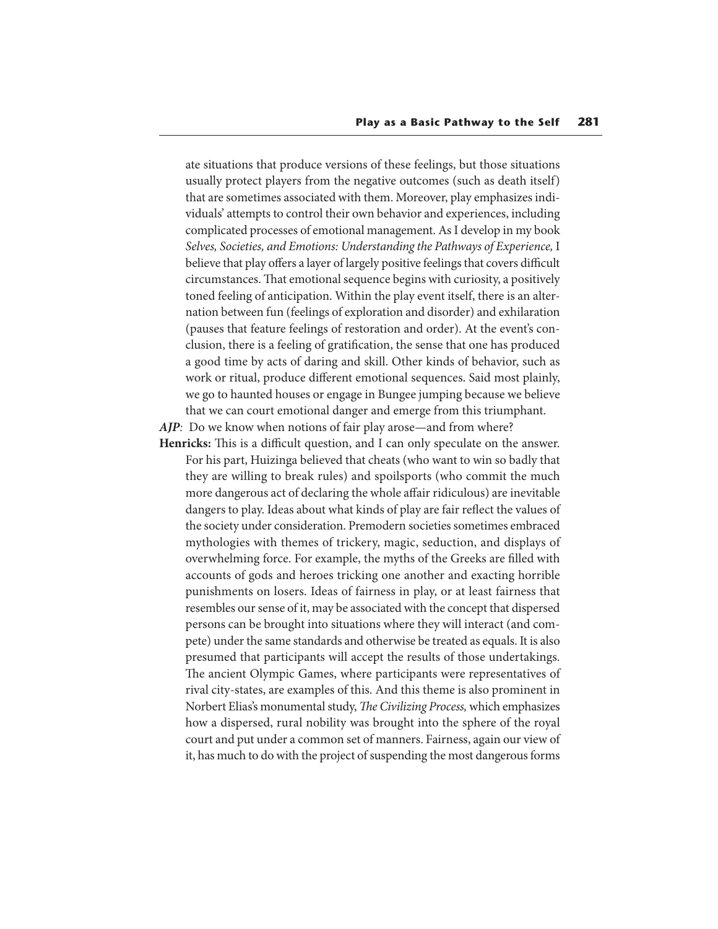ate situations that produce versions of these feelings, but those situations usually protect players from the negative outcomes (such as death itself) that are sometimes associated with them. Moreover, play emphasizes individuals' attempts to control their own behavior and experiences, including complicated processes of emotional management. As I develop in my book Selves, Societies, and Emotions: Understanding the Pathways of Experience, I believe that play offers a layer of largely positive feelings that covers difficult circumstances. That emotional sequence begins with curiosity, a positively toned feeling of anticipation. Within the play event itself, there is an alternation between fun (feelings of exploration and disorder) and exhilaration (pauses that feature feelings of restoration and order). At the event's conclusion, there is a feeling of gratification, the sense that one has produced a good time by acts of daring and skill. Other kinds of behavior, such as work or ritual, produce different emotional sequences. Said most plainly, we go to haunted houses or engage in Bungee jumping because we believe that we can court emotional danger and emerge from this triumphant.

**AJP**: Do we know when notions of fair play arose—and from where?

Henricks: This is a difficult question, and I can only speculate on the answer. For his part, Huizinga believed that cheats (who want to win so badly that they are willing to break rules) and spoilsports (who commit the much more dangerous act of declaring the whole affair ridiculous) are inevitable dangers to play. Ideas about what kinds of play are fair reflect the values of the society under consideration. Premodern societies sometimes embraced mythologies with themes of trickery, magic, seduction, and displays of overwhelming force. For example, the myths of the Greeks are filled with accounts of gods and heroes tricking one another and exacting horrible punishments on losers. Ideas of fairness in play, or at least fairness that resembles our sense of it, may be associated with the concept that dispersed persons can be brought into situations where they will interact (and compete) under the same standards and otherwise be treated as equals. It is also presumed that participants will accept the results of those undertakings. The ancient Olympic Games, where participants were representatives of rival city-states, are examples of this. And this theme is also prominent in Norbert Elias's monumental study, The Civilizing Process, which emphasizes how a dispersed, rural nobility was brought into the sphere of the royal court and put under a common set of manners. Fairness, again our view of it, has much to do with the project of suspending the most dangerous forms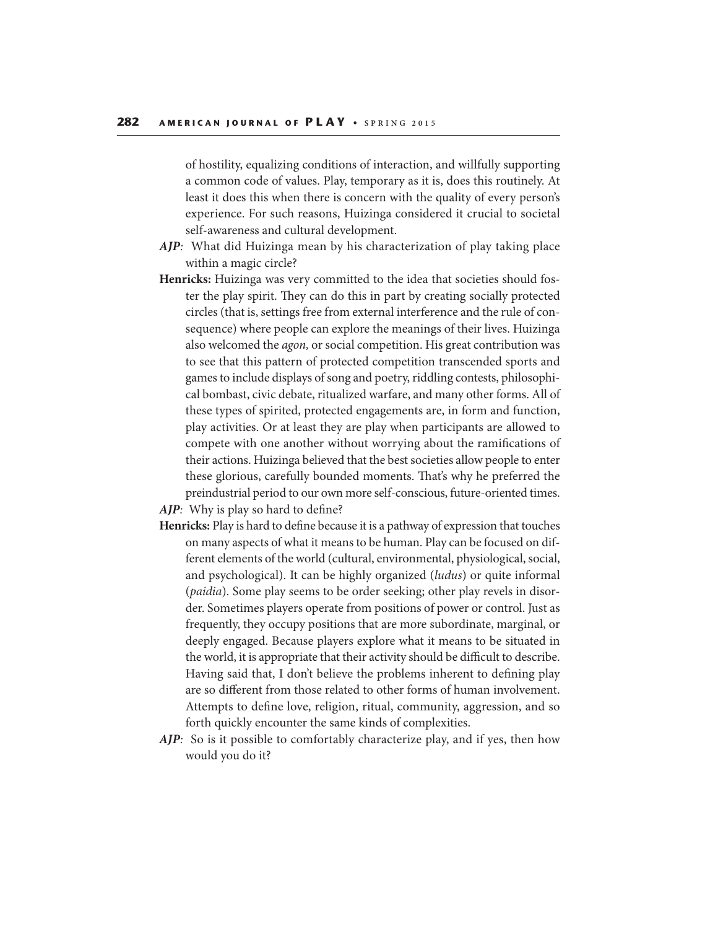of hostility, equalizing conditions of interaction, and willfully supporting a common code of values. Play, temporary as it is, does this routinely. At least it does this when there is concern with the quality of every person's experience. For such reasons, Huizinga considered it crucial to societal self-awareness and cultural development.

- **AJP**: What did Huizinga mean by his characterization of play taking place within a magic circle?
- **Henricks:** Huizinga was very committed to the idea that societies should foster the play spirit. They can do this in part by creating socially protected circles (that is, settings free from external interference and the rule of consequence) where people can explore the meanings of their lives. Huizinga also welcomed the agon, or social competition. His great contribution was to see that this pattern of protected competition transcended sports and games to include displays of song and poetry, riddling contests, philosophical bombast, civic debate, ritualized warfare, and many other forms. All of these types of spirited, protected engagements are, in form and function, play activities. Or at least they are play when participants are allowed to compete with one another without worrying about the ramications of their actions. Huizinga believed that the best societies allow people to enter these glorious, carefully bounded moments. That's why he preferred the preindustrial period to our own more self-conscious, future-oriented times.
- AJP: Why is play so hard to define?
- **Henricks:** Play is hard to define because it is a pathway of expression that touches on many aspects of what it means to be human. Play can be focused on different elements of the world (cultural, environmental, physiological, social, and psychological). It can be highly organized (ludus) or quite informal (paidia). Some play seems to be order seeking; other play revels in disorder. Sometimes players operate from positions of power or control. Just as frequently, they occupy positions that are more subordinate, marginal, or deeply engaged. Because players explore what it means to be situated in the world, it is appropriate that their activity should be difficult to describe. Having said that, I don't believe the problems inherent to defining play are so different from those related to other forms of human involvement. Attempts to define love, religion, ritual, community, aggression, and so forth quickly encounter the same kinds of complexities.
- **AJP**: So is it possible to comfortably characterize play, and if yes, then how would you do it?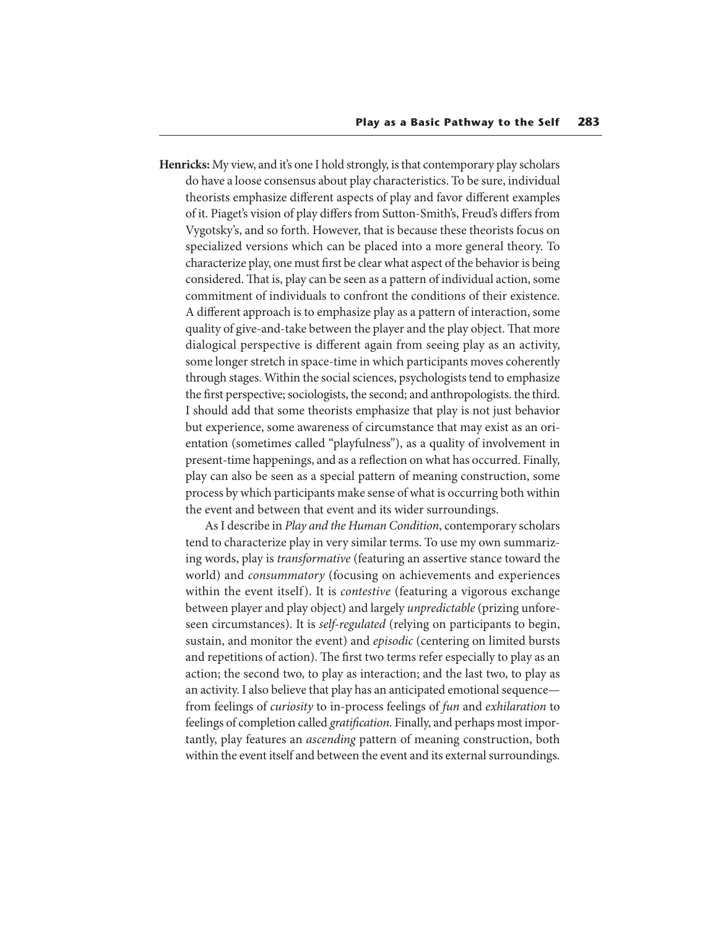**Henricks:** My view, and it's one I hold strongly, is that contemporary play scholars do have a loose consensus about play characteristics. To be sure, individual theorists emphasize different aspects of play and favor different examples of it. Piaget's vision of play differs from Sutton-Smith's, Freud's differs from Vygotsky's, and so forth. However, that is because these theorists focus on specialized versions which can be placed into a more general theory. To characterize play, one must first be clear what aspect of the behavior is being considered. That is, play can be seen as a pattern of individual action, some commitment of individuals to confront the conditions of their existence. A different approach is to emphasize play as a pattern of interaction, some quality of give-and-take between the player and the play object. That more dialogical perspective is different again from seeing play as an activity, some longer stretch in space-time in which participants moves coherently through stages. Within the social sciences, psychologists tend to emphasize the first perspective; sociologists, the second; and anthropologists, the third. I should add that some theorists emphasize that play is not just behavior but experience, some awareness of circumstance that may exist as an orientation (sometimes called "playfulness"), as a quality of involvement in present-time happenings, and as a reflection on what has occurred. Finally, play can also be seen as a special pattern of meaning construction, some process by which participants make sense of what is occurring both within the event and between that event and its wider surroundings.

 As I describe in Play and the Human Condition, contemporary scholars tend to characterize play in very similar terms. To use my own summarizing words, play is transformative (featuring an assertive stance toward the world) and consummatory (focusing on achievements and experiences within the event itself). It is *contestive* (featuring a vigorous exchange between player and play object) and largely unpredictable (prizing unforeseen circumstances). It is self-regulated (relying on participants to begin, sustain, and monitor the event) and episodic (centering on limited bursts and repetitions of action). The first two terms refer especially to play as an action; the second two, to play as interaction; and the last two, to play as an activity. I also believe that play has an anticipated emotional sequence from feelings of curiosity to in-process feelings of fun and exhilaration to feelings of completion called *gratification*. Finally, and perhaps most importantly, play features an ascending pattern of meaning construction, both within the event itself and between the event and its external surroundings.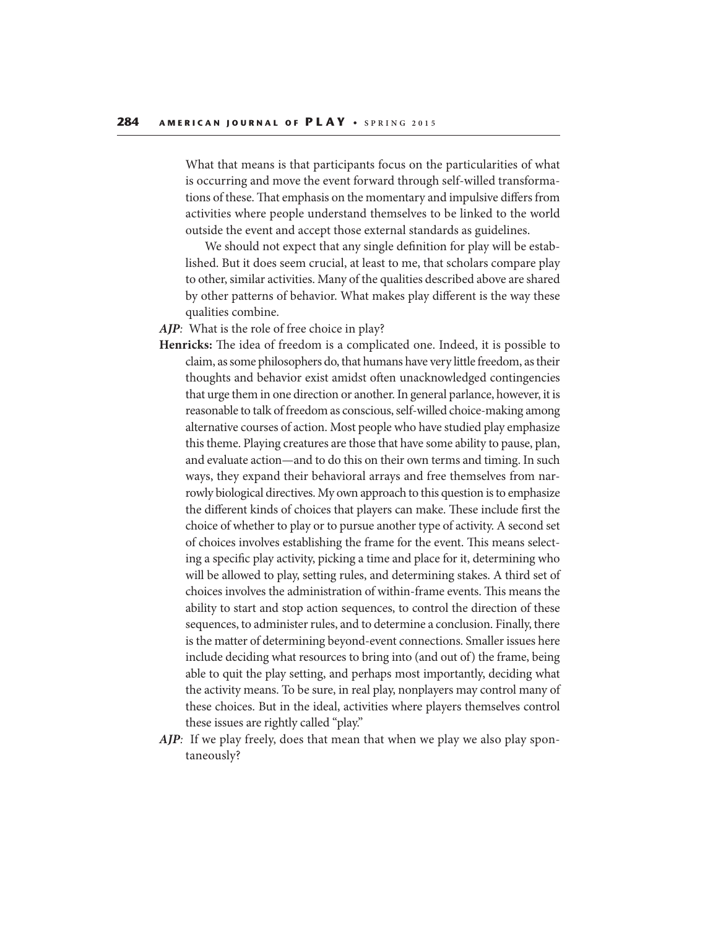What that means is that participants focus on the particularities of what is occurring and move the event forward through self-willed transformations of these. That emphasis on the momentary and impulsive differs from activities where people understand themselves to be linked to the world outside the event and accept those external standards as guidelines.

We should not expect that any single definition for play will be established. But it does seem crucial, at least to me, that scholars compare play to other, similar activities. Many of the qualities described above are shared by other patterns of behavior. What makes play different is the way these qualities combine.

**AJP**: What is the role of free choice in play?

- Henricks: The idea of freedom is a complicated one. Indeed, it is possible to claim, as some philosophers do, that humans have very little freedom, as their thoughts and behavior exist amidst often unacknowledged contingencies that urge them in one direction or another. In general parlance, however, it is reasonable to talk of freedom as conscious, self-willed choice-making among alternative courses of action. Most people who have studied play emphasize this theme. Playing creatures are those that have some ability to pause, plan, and evaluate action—and to do this on their own terms and timing. In such ways, they expand their behavioral arrays and free themselves from narrowly biological directives. My own approach to this question is to emphasize the different kinds of choices that players can make. These include first the choice of whether to play or to pursue another type of activity. A second set of choices involves establishing the frame for the event. This means selecting a specific play activity, picking a time and place for it, determining who will be allowed to play, setting rules, and determining stakes. A third set of choices involves the administration of within-frame events. This means the ability to start and stop action sequences, to control the direction of these sequences, to administer rules, and to determine a conclusion. Finally, there is the matter of determining beyond-event connections. Smaller issues here include deciding what resources to bring into (and out of) the frame, being able to quit the play setting, and perhaps most importantly, deciding what the activity means. To be sure, in real play, nonplayers may control many of these choices. But in the ideal, activities where players themselves control these issues are rightly called "play."
- **AJP**: If we play freely, does that mean that when we play we also play spontaneously?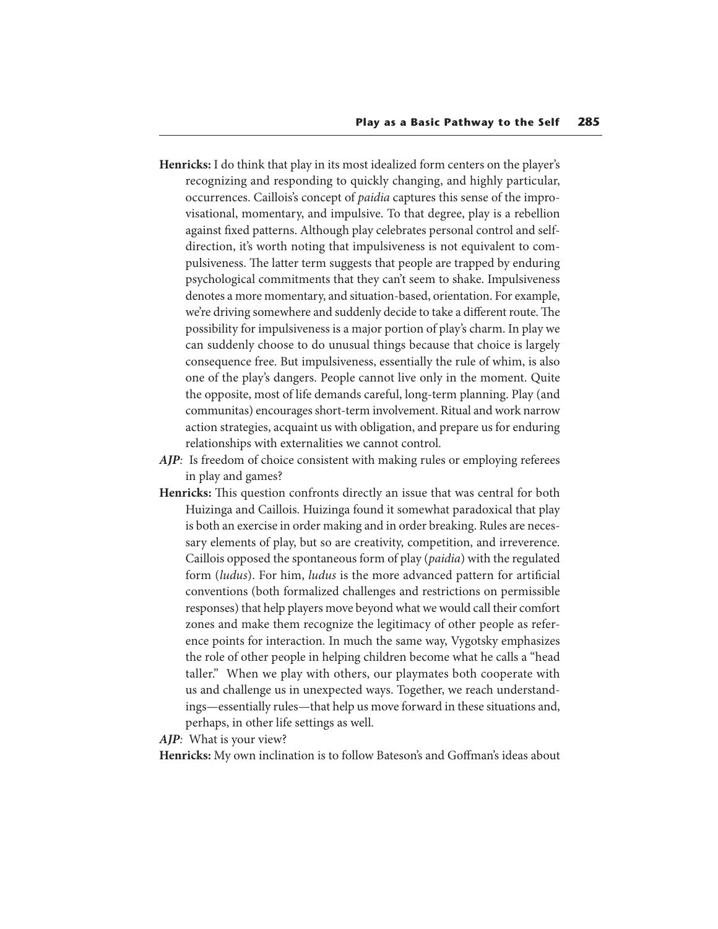- **Henricks:** I do think that play in its most idealized form centers on the player's recognizing and responding to quickly changing, and highly particular, occurrences. Caillois's concept of paidia captures this sense of the improvisational, momentary, and impulsive. To that degree, play is a rebellion against fixed patterns. Although play celebrates personal control and selfdirection, it's worth noting that impulsiveness is not equivalent to compulsiveness. The latter term suggests that people are trapped by enduring psychological commitments that they can't seem to shake. Impulsiveness denotes a more momentary, and situation-based, orientation. For example, we're driving somewhere and suddenly decide to take a different route. The possibility for impulsiveness is a major portion of play's charm. In play we can suddenly choose to do unusual things because that choice is largely consequence free. But impulsiveness, essentially the rule of whim, is also one of the play's dangers. People cannot live only in the moment. Quite the opposite, most of life demands careful, long-term planning. Play (and communitas) encourages short-term involvement. Ritual and work narrow action strategies, acquaint us with obligation, and prepare us for enduring relationships with externalities we cannot control.
- **AJP**: Is freedom of choice consistent with making rules or employing referees in play and games?
- **Henricks:** This question confronts directly an issue that was central for both Huizinga and Caillois. Huizinga found it somewhat paradoxical that play is both an exercise in order making and in order breaking. Rules are necessary elements of play, but so are creativity, competition, and irreverence. Caillois opposed the spontaneous form of play (paidia) with the regulated form (*ludus*). For him, *ludus* is the more advanced pattern for artificial conventions (both formalized challenges and restrictions on permissible responses) that help players move beyond what we would call their comfort zones and make them recognize the legitimacy of other people as reference points for interaction. In much the same way, Vygotsky emphasizes the role of other people in helping children become what he calls a "head taller." When we play with others, our playmates both cooperate with us and challenge us in unexpected ways. Together, we reach understandings—essentially rules—that help us move forward in these situations and, perhaps, in other life settings as well.

**AJP**: What is your view?

**Henricks:** My own inclination is to follow Bateson's and Goffman's ideas about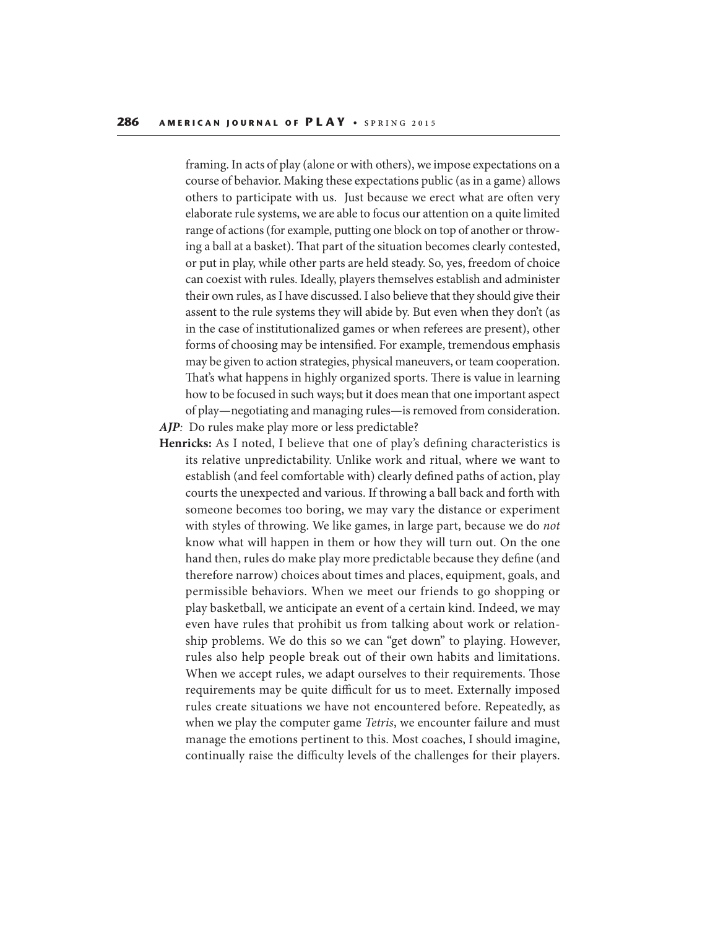framing. In acts of play (alone or with others), we impose expectations on a course of behavior. Making these expectations public (as in a game) allows others to participate with us. Just because we erect what are often very elaborate rule systems, we are able to focus our attention on a quite limited range of actions (for example, putting one block on top of another or throwing a ball at a basket). That part of the situation becomes clearly contested, or put in play, while other parts are held steady. So, yes, freedom of choice can coexist with rules. Ideally, players themselves establish and administer their own rules, as I have discussed. I also believe that they should give their assent to the rule systems they will abide by. But even when they don't (as in the case of institutionalized games or when referees are present), other forms of choosing may be intensified. For example, tremendous emphasis may be given to action strategies, physical maneuvers, or team cooperation. That's what happens in highly organized sports. There is value in learning how to be focused in such ways; but it does mean that one important aspect of play—negotiating and managing rules—is removed from consideration.

**AJP**: Do rules make play more or less predictable?

Henricks: As I noted, I believe that one of play's defining characteristics is its relative unpredictability. Unlike work and ritual, where we want to establish (and feel comfortable with) clearly defined paths of action, play courts the unexpected and various. If throwing a ball back and forth with someone becomes too boring, we may vary the distance or experiment with styles of throwing. We like games, in large part, because we do *not* know what will happen in them or how they will turn out. On the one hand then, rules do make play more predictable because they define (and therefore narrow) choices about times and places, equipment, goals, and permissible behaviors. When we meet our friends to go shopping or play basketball, we anticipate an event of a certain kind. Indeed, we may even have rules that prohibit us from talking about work or relationship problems. We do this so we can "get down" to playing. However, rules also help people break out of their own habits and limitations. When we accept rules, we adapt ourselves to their requirements. Those requirements may be quite difficult for us to meet. Externally imposed rules create situations we have not encountered before. Repeatedly, as when we play the computer game *Tetris*, we encounter failure and must manage the emotions pertinent to this. Most coaches, I should imagine, continually raise the difficulty levels of the challenges for their players.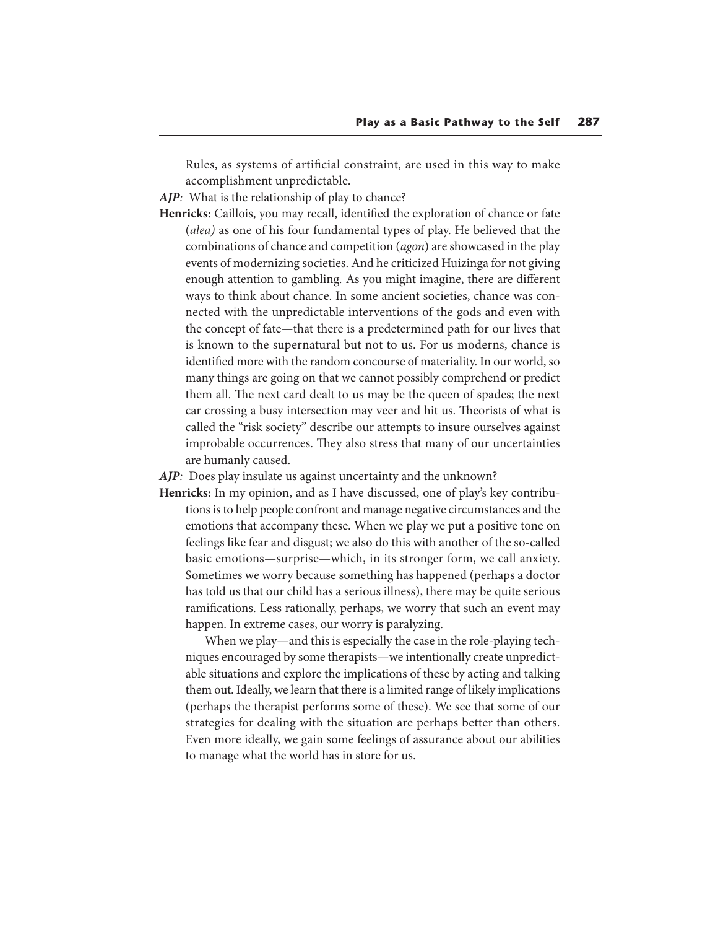Rules, as systems of artificial constraint, are used in this way to make accomplishment unpredictable.

**AJP**: What is the relationship of play to chance?

Henricks: Caillois, you may recall, identified the exploration of chance or fate (alea) as one of his four fundamental types of play. He believed that the combinations of chance and competition (agon) are showcased in the play events of modernizing societies. And he criticized Huizinga for not giving enough attention to gambling. As you might imagine, there are different ways to think about chance. In some ancient societies, chance was connected with the unpredictable interventions of the gods and even with the concept of fate—that there is a predetermined path for our lives that is known to the supernatural but not to us. For us moderns, chance is identified more with the random concourse of materiality. In our world, so many things are going on that we cannot possibly comprehend or predict them all. The next card dealt to us may be the queen of spades; the next car crossing a busy intersection may veer and hit us. Theorists of what is called the "risk society" describe our attempts to insure ourselves against improbable occurrences. They also stress that many of our uncertainties are humanly caused.

**AJP**: Does play insulate us against uncertainty and the unknown?

**Henricks:** In my opinion, and as I have discussed, one of play's key contributions is to help people confront and manage negative circumstances and the emotions that accompany these. When we play we put a positive tone on feelings like fear and disgust; we also do this with another of the so-called basic emotions—surprise—which, in its stronger form, we call anxiety. Sometimes we worry because something has happened (perhaps a doctor has told us that our child has a serious illness), there may be quite serious ramifications. Less rationally, perhaps, we worry that such an event may happen. In extreme cases, our worry is paralyzing.

 When we play—and this is especially the case in the role-playing techniques encouraged by some therapists—we intentionally create unpredictable situations and explore the implications of these by acting and talking them out. Ideally, we learn that there is a limited range of likely implications (perhaps the therapist performs some of these). We see that some of our strategies for dealing with the situation are perhaps better than others. Even more ideally, we gain some feelings of assurance about our abilities to manage what the world has in store for us.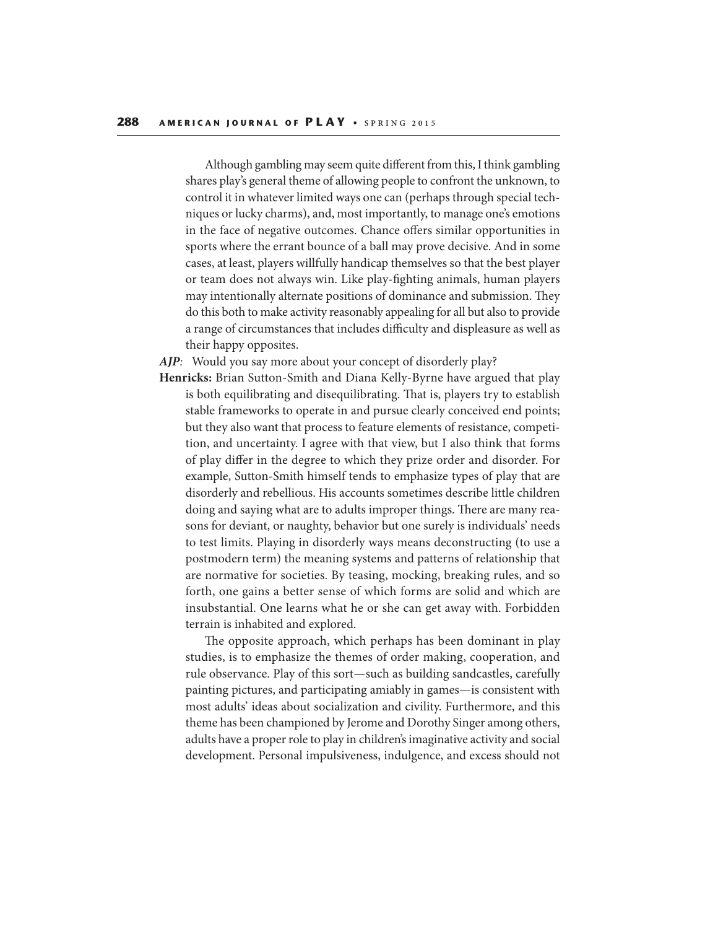Although gambling may seem quite different from this, I think gambling shares play's general theme of allowing people to confront the unknown, to control it in whatever limited ways one can (perhaps through special techniques or lucky charms), and, most importantly, to manage one's emotions in the face of negative outcomes. Chance offers similar opportunities in sports where the errant bounce of a ball may prove decisive. And in some cases, at least, players willfully handicap themselves so that the best player or team does not always win. Like play-fighting animals, human players may intentionally alternate positions of dominance and submission. They do this both to make activity reasonably appealing for all but also to provide a range of circumstances that includes difficulty and displeasure as well as their happy opposites.

**AJP**: Would you say more about your concept of disorderly play?

**Henricks:** Brian Sutton-Smith and Diana Kelly-Byrne have argued that play is both equilibrating and disequilibrating. That is, players try to establish stable frameworks to operate in and pursue clearly conceived end points; but they also want that process to feature elements of resistance, competition, and uncertainty. I agree with that view, but I also think that forms of play differ in the degree to which they prize order and disorder. For example, Sutton-Smith himself tends to emphasize types of play that are disorderly and rebellious. His accounts sometimes describe little children doing and saying what are to adults improper things. There are many reasons for deviant, or naughty, behavior but one surely is individuals' needs to test limits. Playing in disorderly ways means deconstructing (to use a postmodern term) the meaning systems and patterns of relationship that are normative for societies. By teasing, mocking, breaking rules, and so forth, one gains a better sense of which forms are solid and which are insubstantial. One learns what he or she can get away with. Forbidden terrain is inhabited and explored.

The opposite approach, which perhaps has been dominant in play studies, is to emphasize the themes of order making, cooperation, and rule observance. Play of this sort—such as building sandcastles, carefully painting pictures, and participating amiably in games—is consistent with most adults' ideas about socialization and civility. Furthermore, and this theme has been championed by Jerome and Dorothy Singer among others, adults have a proper role to play in children's imaginative activity and social development. Personal impulsiveness, indulgence, and excess should not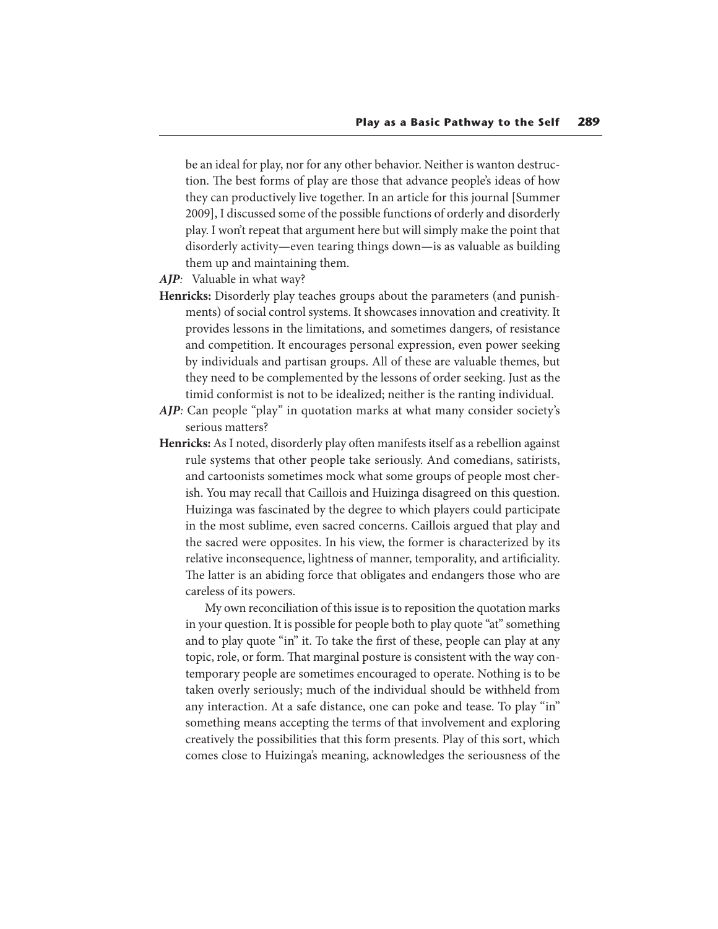be an ideal for play, nor for any other behavior. Neither is wanton destruction. The best forms of play are those that advance people's ideas of how they can productively live together. In an article for this journal [Summer 2009], I discussed some of the possible functions of orderly and disorderly play. I won't repeat that argument here but will simply make the point that disorderly activity—even tearing things down—is as valuable as building them up and maintaining them.

- **AJP**: Valuable in what way?
- **Henricks:** Disorderly play teaches groups about the parameters (and punishments) of social control systems. It showcases innovation and creativity. It provides lessons in the limitations, and sometimes dangers, of resistance and competition. It encourages personal expression, even power seeking by individuals and partisan groups. All of these are valuable themes, but they need to be complemented by the lessons of order seeking. Just as the timid conformist is not to be idealized; neither is the ranting individual.
- **AJP**: Can people "play" in quotation marks at what many consider society's serious matters?
- Henricks: As I noted, disorderly play often manifests itself as a rebellion against rule systems that other people take seriously. And comedians, satirists, and cartoonists sometimes mock what some groups of people most cherish. You may recall that Caillois and Huizinga disagreed on this question. Huizinga was fascinated by the degree to which players could participate in the most sublime, even sacred concerns. Caillois argued that play and the sacred were opposites. In his view, the former is characterized by its relative inconsequence, lightness of manner, temporality, and articiality. The latter is an abiding force that obligates and endangers those who are careless of its powers.

 My own reconciliation of this issue is to reposition the quotation marks in your question. It is possible for people both to play quote "at" something and to play quote "in" it. To take the first of these, people can play at any topic, role, or form. That marginal posture is consistent with the way contemporary people are sometimes encouraged to operate. Nothing is to be taken overly seriously; much of the individual should be withheld from any interaction. At a safe distance, one can poke and tease. To play "in" something means accepting the terms of that involvement and exploring creatively the possibilities that this form presents. Play of this sort, which comes close to Huizinga's meaning, acknowledges the seriousness of the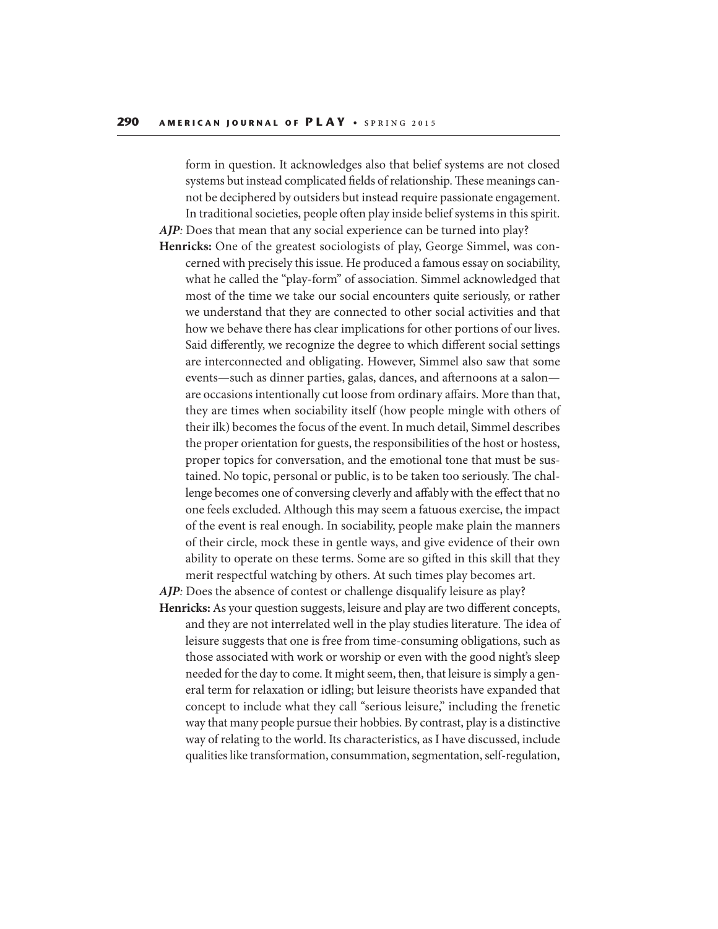form in question. It acknowledges also that belief systems are not closed systems but instead complicated fields of relationship. These meanings cannot be deciphered by outsiders but instead require passionate engagement. In traditional societies, people often play inside belief systems in this spirit.

**AJP**: Does that mean that any social experience can be turned into play?

**Henricks:** One of the greatest sociologists of play, George Simmel, was concerned with precisely this issue. He produced a famous essay on sociability, what he called the "play-form" of association. Simmel acknowledged that most of the time we take our social encounters quite seriously, or rather we understand that they are connected to other social activities and that how we behave there has clear implications for other portions of our lives. Said differently, we recognize the degree to which different social settings are interconnected and obligating. However, Simmel also saw that some events—such as dinner parties, galas, dances, and afternoons at a salon are occasions intentionally cut loose from ordinary affairs. More than that, they are times when sociability itself (how people mingle with others of their ilk) becomes the focus of the event. In much detail, Simmel describes the proper orientation for guests, the responsibilities of the host or hostess, proper topics for conversation, and the emotional tone that must be sustained. No topic, personal or public, is to be taken too seriously. The challenge becomes one of conversing cleverly and affably with the effect that no one feels excluded. Although this may seem a fatuous exercise, the impact of the event is real enough. In sociability, people make plain the manners of their circle, mock these in gentle ways, and give evidence of their own ability to operate on these terms. Some are so gifted in this skill that they merit respectful watching by others. At such times play becomes art.

**AJP**: Does the absence of contest or challenge disqualify leisure as play?

**Henricks:** As your question suggests, leisure and play are two different concepts, and they are not interrelated well in the play studies literature. The idea of leisure suggests that one is free from time-consuming obligations, such as those associated with work or worship or even with the good night's sleep needed for the day to come. It might seem, then, that leisure is simply a general term for relaxation or idling; but leisure theorists have expanded that concept to include what they call "serious leisure," including the frenetic way that many people pursue their hobbies. By contrast, play is a distinctive way of relating to the world. Its characteristics, as I have discussed, include qualities like transformation, consummation, segmentation, self-regulation,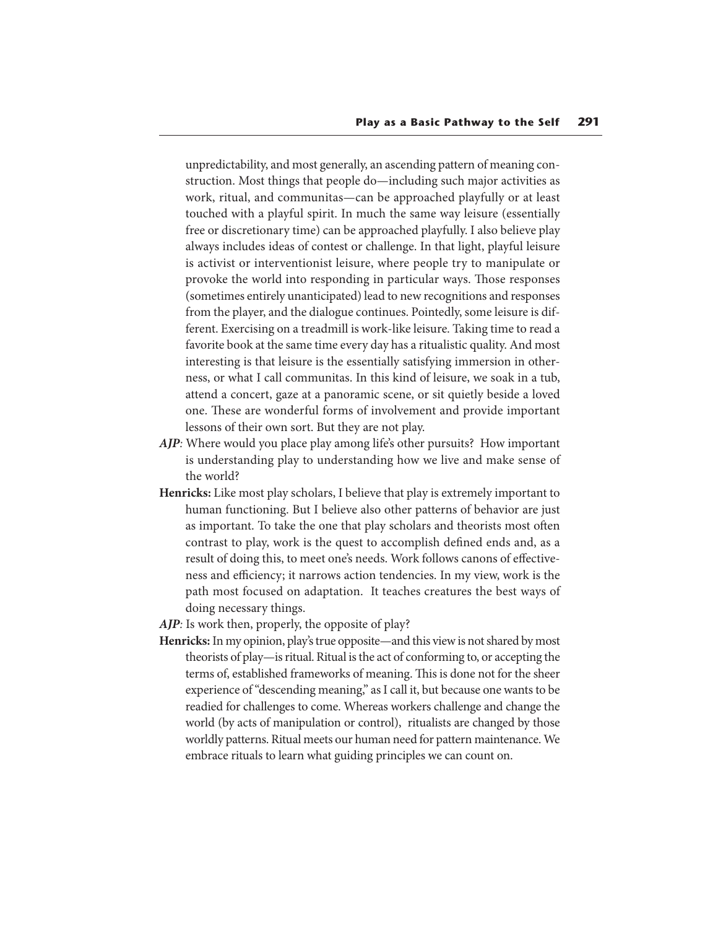unpredictability, and most generally, an ascending pattern of meaning construction. Most things that people do—including such major activities as work, ritual, and communitas—can be approached playfully or at least touched with a playful spirit. In much the same way leisure (essentially free or discretionary time) can be approached playfully. I also believe play always includes ideas of contest or challenge. In that light, playful leisure is activist or interventionist leisure, where people try to manipulate or provoke the world into responding in particular ways. Those responses (sometimes entirely unanticipated) lead to new recognitions and responses from the player, and the dialogue continues. Pointedly, some leisure is different. Exercising on a treadmill is work-like leisure. Taking time to read a favorite book at the same time every day has a ritualistic quality. And most interesting is that leisure is the essentially satisfying immersion in otherness, or what I call communitas. In this kind of leisure, we soak in a tub, attend a concert, gaze at a panoramic scene, or sit quietly beside a loved one. These are wonderful forms of involvement and provide important lessons of their own sort. But they are not play.

- **AJP**: Where would you place play among life's other pursuits? How important is understanding play to understanding how we live and make sense of the world?
- **Henricks:** Like most play scholars, I believe that play is extremely important to human functioning. But I believe also other patterns of behavior are just as important. To take the one that play scholars and theorists most often contrast to play, work is the quest to accomplish defined ends and, as a result of doing this, to meet one's needs. Work follows canons of effectiveness and efficiency; it narrows action tendencies. In my view, work is the path most focused on adaptation. It teaches creatures the best ways of doing necessary things.

**AJP**: Is work then, properly, the opposite of play?

**Henricks:** In my opinion, play's true opposite—and this view is not shared by most theorists of play—is ritual. Ritual is the act of conforming to, or accepting the terms of, established frameworks of meaning. This is done not for the sheer experience of "descending meaning," as I call it, but because one wants to be readied for challenges to come. Whereas workers challenge and change the world (by acts of manipulation or control), ritualists are changed by those worldly patterns. Ritual meets our human need for pattern maintenance. We embrace rituals to learn what guiding principles we can count on.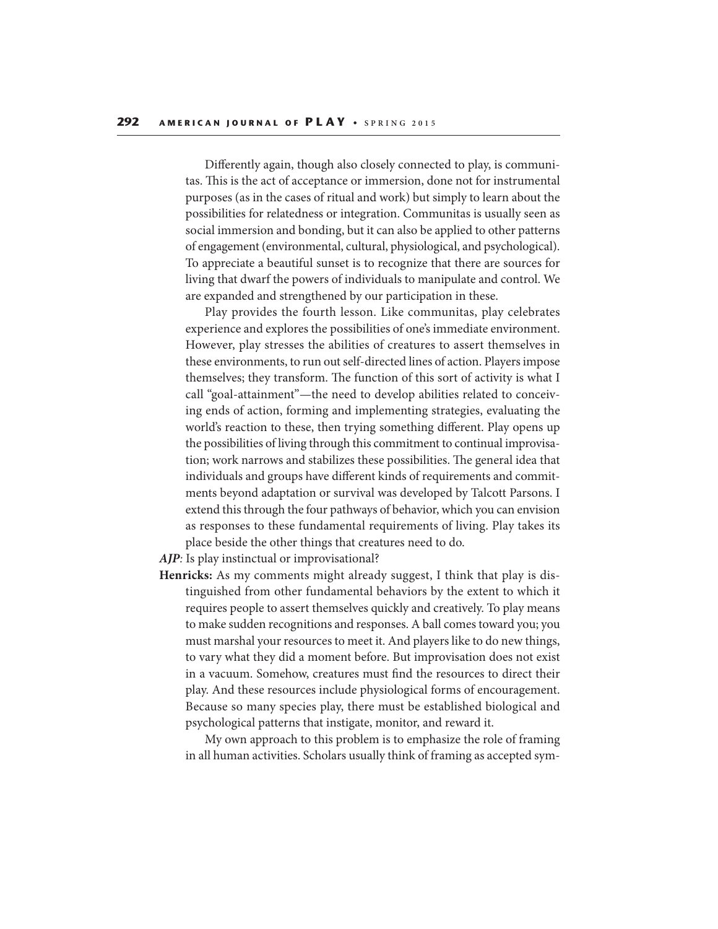Differently again, though also closely connected to play, is communitas. This is the act of acceptance or immersion, done not for instrumental purposes (as in the cases of ritual and work) but simply to learn about the possibilities for relatedness or integration. Communitas is usually seen as social immersion and bonding, but it can also be applied to other patterns of engagement (environmental, cultural, physiological, and psychological). To appreciate a beautiful sunset is to recognize that there are sources for living that dwarf the powers of individuals to manipulate and control. We are expanded and strengthened by our participation in these.

 Play provides the fourth lesson. Like communitas, play celebrates experience and explores the possibilities of one's immediate environment. However, play stresses the abilities of creatures to assert themselves in these environments, to run out self-directed lines of action. Players impose themselves; they transform. The function of this sort of activity is what I call "goal-attainment"—the need to develop abilities related to conceiving ends of action, forming and implementing strategies, evaluating the world's reaction to these, then trying something different. Play opens up the possibilities of living through this commitment to continual improvisation; work narrows and stabilizes these possibilities. The general idea that individuals and groups have different kinds of requirements and commitments beyond adaptation or survival was developed by Talcott Parsons. I extend this through the four pathways of behavior, which you can envision as responses to these fundamental requirements of living. Play takes its place beside the other things that creatures need to do.

**AJP**: Is play instinctual or improvisational?

**Henricks:** As my comments might already suggest, I think that play is distinguished from other fundamental behaviors by the extent to which it requires people to assert themselves quickly and creatively. To play means to make sudden recognitions and responses. A ball comes toward you; you must marshal your resources to meet it. And players like to do new things, to vary what they did a moment before. But improvisation does not exist in a vacuum. Somehow, creatures must find the resources to direct their play. And these resources include physiological forms of encouragement. Because so many species play, there must be established biological and psychological patterns that instigate, monitor, and reward it.

 My own approach to this problem is to emphasize the role of framing in all human activities. Scholars usually think of framing as accepted sym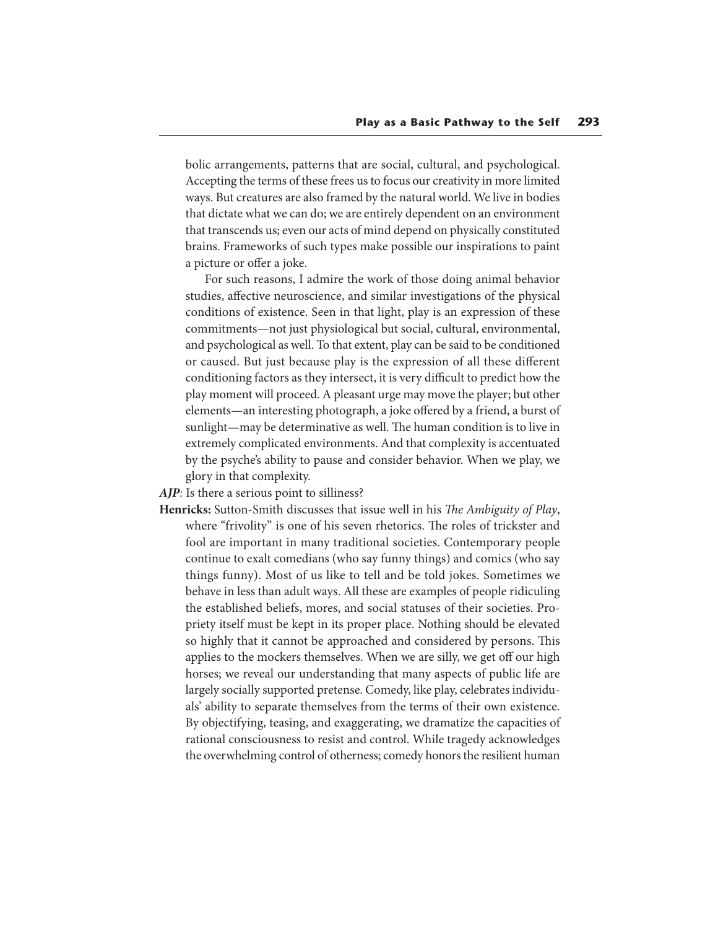bolic arrangements, patterns that are social, cultural, and psychological. Accepting the terms of these frees us to focus our creativity in more limited ways. But creatures are also framed by the natural world. We live in bodies that dictate what we can do; we are entirely dependent on an environment that transcends us; even our acts of mind depend on physically constituted brains. Frameworks of such types make possible our inspirations to paint a picture or offer a joke.

 For such reasons, I admire the work of those doing animal behavior studies, affective neuroscience, and similar investigations of the physical conditions of existence. Seen in that light, play is an expression of these commitments—not just physiological but social, cultural, environmental, and psychological as well. To that extent, play can be said to be conditioned or caused. But just because play is the expression of all these different conditioning factors as they intersect, it is very difficult to predict how the play moment will proceed. A pleasant urge may move the player; but other elements—an interesting photograph, a joke offered by a friend, a burst of sunlight—may be determinative as well. The human condition is to live in extremely complicated environments. And that complexity is accentuated by the psyche's ability to pause and consider behavior. When we play, we glory in that complexity.

- **AJP**: Is there a serious point to silliness?
- Henricks: Sutton-Smith discusses that issue well in his *The Ambiguity of Play*, where "frivolity" is one of his seven rhetorics. The roles of trickster and fool are important in many traditional societies. Contemporary people continue to exalt comedians (who say funny things) and comics (who say things funny). Most of us like to tell and be told jokes. Sometimes we behave in less than adult ways. All these are examples of people ridiculing the established beliefs, mores, and social statuses of their societies. Propriety itself must be kept in its proper place. Nothing should be elevated so highly that it cannot be approached and considered by persons. This applies to the mockers themselves. When we are silly, we get off our high horses; we reveal our understanding that many aspects of public life are largely socially supported pretense. Comedy, like play, celebrates individuals' ability to separate themselves from the terms of their own existence. By objectifying, teasing, and exaggerating, we dramatize the capacities of rational consciousness to resist and control. While tragedy acknowledges the overwhelming control of otherness; comedy honors the resilient human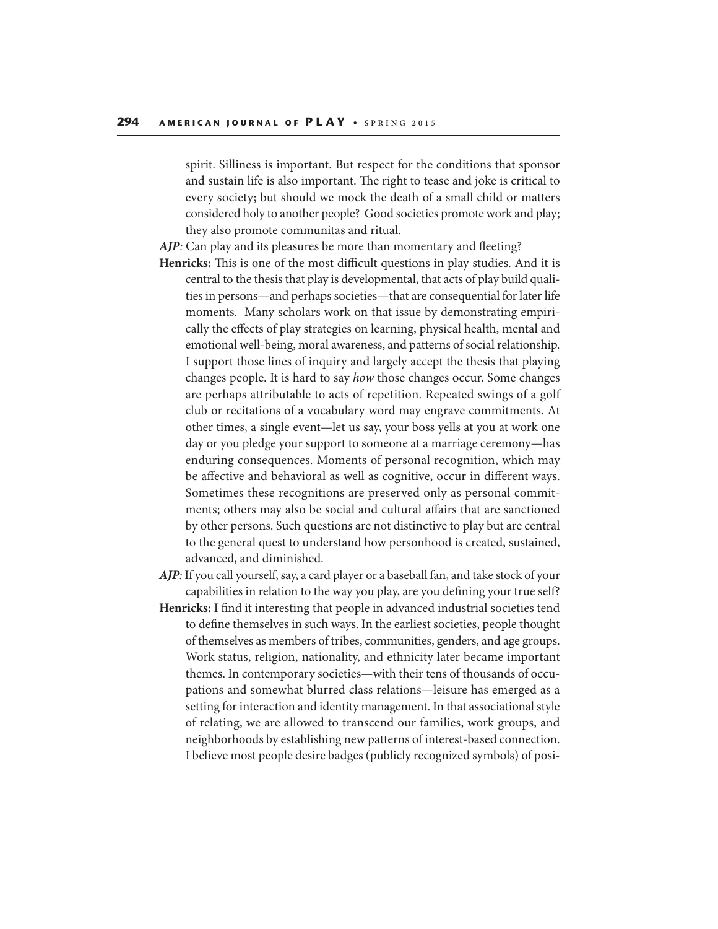spirit. Silliness is important. But respect for the conditions that sponsor and sustain life is also important. The right to tease and joke is critical to every society; but should we mock the death of a small child or matters considered holy to another people? Good societies promote work and play; they also promote communitas and ritual.

- **AJP**: Can play and its pleasures be more than momentary and fleeting?
- **Henricks:** This is one of the most difficult questions in play studies. And it is central to the thesis that play is developmental, that acts of play build qualities in persons—and perhaps societies—that are consequential for later life moments. Many scholars work on that issue by demonstrating empirically the effects of play strategies on learning, physical health, mental and emotional well-being, moral awareness, and patterns of social relationship. I support those lines of inquiry and largely accept the thesis that playing changes people. It is hard to say how those changes occur. Some changes are perhaps attributable to acts of repetition. Repeated swings of a golf club or recitations of a vocabulary word may engrave commitments. At other times, a single event—let us say, your boss yells at you at work one day or you pledge your support to someone at a marriage ceremony—has enduring consequences. Moments of personal recognition, which may be affective and behavioral as well as cognitive, occur in different ways. Sometimes these recognitions are preserved only as personal commitments; others may also be social and cultural affairs that are sanctioned by other persons. Such questions are not distinctive to play but are central to the general quest to understand how personhood is created, sustained, advanced, and diminished.
- **AJP**: If you call yourself, say, a card player or a baseball fan, and take stock of your capabilities in relation to the way you play, are you defining your true self?
- **Henricks:** I find it interesting that people in advanced industrial societies tend to define themselves in such ways. In the earliest societies, people thought of themselves as members of tribes, communities, genders, and age groups. Work status, religion, nationality, and ethnicity later became important themes. In contemporary societies—with their tens of thousands of occupations and somewhat blurred class relations—leisure has emerged as a setting for interaction and identity management. In that associational style of relating, we are allowed to transcend our families, work groups, and neighborhoods by establishing new patterns of interest-based connection. I believe most people desire badges (publicly recognized symbols) of posi-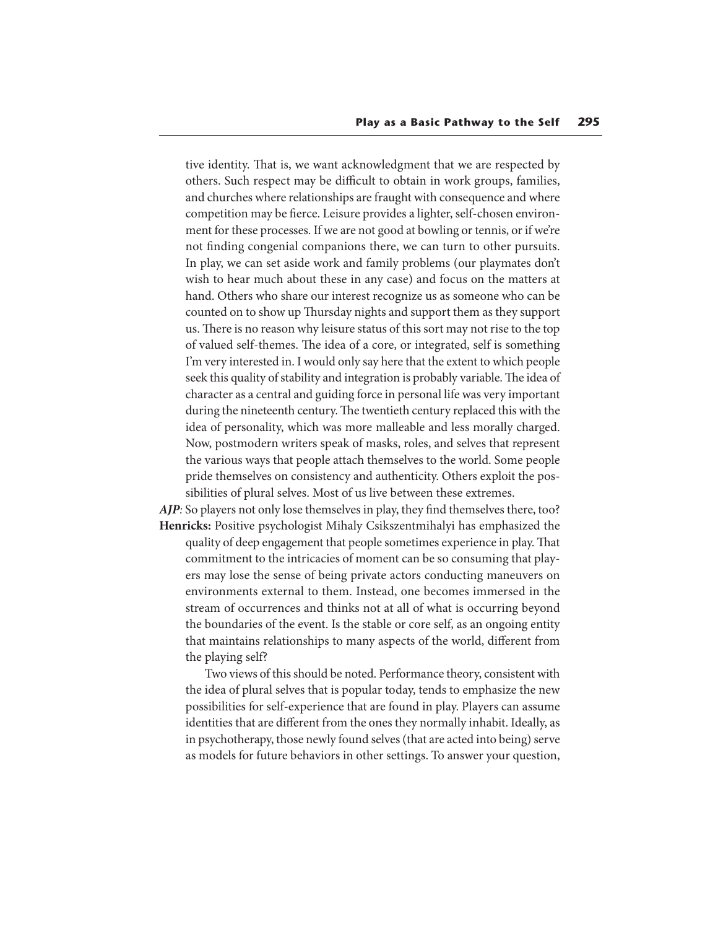tive identity. That is, we want acknowledgment that we are respected by others. Such respect may be difficult to obtain in work groups, families, and churches where relationships are fraught with consequence and where competition may be fierce. Leisure provides a lighter, self-chosen environment for these processes. If we are not good at bowling or tennis, or if we're not nding congenial companions there, we can turn to other pursuits. In play, we can set aside work and family problems (our playmates don't wish to hear much about these in any case) and focus on the matters at hand. Others who share our interest recognize us as someone who can be counted on to show up Thursday nights and support them as they support us. There is no reason why leisure status of this sort may not rise to the top of valued self-themes. The idea of a core, or integrated, self is something I'm very interested in. I would only say here that the extent to which people seek this quality of stability and integration is probably variable. The idea of character as a central and guiding force in personal life was very important during the nineteenth century. The twentieth century replaced this with the idea of personality, which was more malleable and less morally charged. Now, postmodern writers speak of masks, roles, and selves that represent the various ways that people attach themselves to the world. Some people pride themselves on consistency and authenticity. Others exploit the possibilities of plural selves. Most of us live between these extremes.

AJP: So players not only lose themselves in play, they find themselves there, too? **Henricks:** Positive psychologist Mihaly Csikszentmihalyi has emphasized the quality of deep engagement that people sometimes experience in play. That commitment to the intricacies of moment can be so consuming that players may lose the sense of being private actors conducting maneuvers on environments external to them. Instead, one becomes immersed in the stream of occurrences and thinks not at all of what is occurring beyond the boundaries of the event. Is the stable or core self, as an ongoing entity that maintains relationships to many aspects of the world, different from the playing self?

 Two views of this should be noted. Performance theory, consistent with the idea of plural selves that is popular today, tends to emphasize the new possibilities for self-experience that are found in play. Players can assume identities that are different from the ones they normally inhabit. Ideally, as in psychotherapy, those newly found selves (that are acted into being) serve as models for future behaviors in other settings. To answer your question,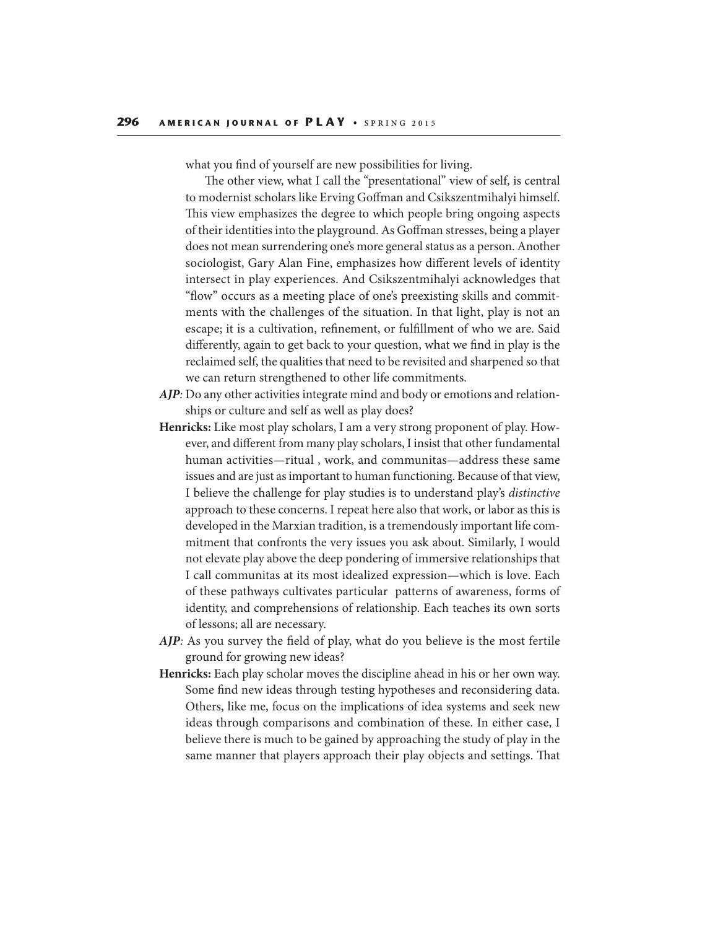what you find of yourself are new possibilities for living.

The other view, what I call the "presentational" view of self, is central to modernist scholars like Erving Goffman and Csikszentmihalyi himself. This view emphasizes the degree to which people bring ongoing aspects of their identities into the playground. As Goffman stresses, being a player does not mean surrendering one's more general status as a person. Another sociologist, Gary Alan Fine, emphasizes how different levels of identity intersect in play experiences. And Csikszentmihalyi acknowledges that "flow" occurs as a meeting place of one's preexisting skills and commitments with the challenges of the situation. In that light, play is not an escape; it is a cultivation, refinement, or fulfillment of who we are. Said differently, again to get back to your question, what we find in play is the reclaimed self, the qualities that need to be revisited and sharpened so that we can return strengthened to other life commitments.

- **AJP**: Do any other activities integrate mind and body or emotions and relationships or culture and self as well as play does?
- **Henricks:** Like most play scholars, I am a very strong proponent of play. However, and different from many play scholars, I insist that other fundamental human activities—ritual , work, and communitas—address these same issues and are just as important to human functioning. Because of that view, I believe the challenge for play studies is to understand play's distinctive approach to these concerns. I repeat here also that work, or labor as this is developed in the Marxian tradition, is a tremendously important life commitment that confronts the very issues you ask about. Similarly, I would not elevate play above the deep pondering of immersive relationships that I call communitas at its most idealized expression—which is love. Each of these pathways cultivates particular patterns of awareness, forms of identity, and comprehensions of relationship. Each teaches its own sorts of lessons; all are necessary.
- **AJP**: As you survey the field of play, what do you believe is the most fertile ground for growing new ideas?
- **Henricks:** Each play scholar moves the discipline ahead in his or her own way. Some find new ideas through testing hypotheses and reconsidering data. Others, like me, focus on the implications of idea systems and seek new ideas through comparisons and combination of these. In either case, I believe there is much to be gained by approaching the study of play in the same manner that players approach their play objects and settings. That